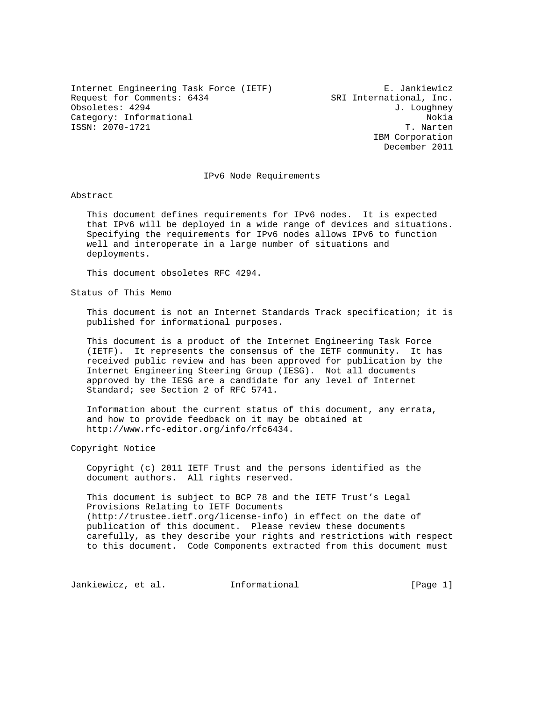Internet Engineering Task Force (IETF) E. Jankiewicz Request for Comments: 6434 SRI International, Inc. Obsoletes: 4294 J. Loughney Category: Informational  $\overline{a}$ ISSN: 2070-1721 T. Narten

 IBM Corporation December 2011

### IPv6 Node Requirements

Abstract

 This document defines requirements for IPv6 nodes. It is expected that IPv6 will be deployed in a wide range of devices and situations. Specifying the requirements for IPv6 nodes allows IPv6 to function well and interoperate in a large number of situations and deployments.

This document obsoletes RFC 4294.

Status of This Memo

 This document is not an Internet Standards Track specification; it is published for informational purposes.

 This document is a product of the Internet Engineering Task Force (IETF). It represents the consensus of the IETF community. It has received public review and has been approved for publication by the Internet Engineering Steering Group (IESG). Not all documents approved by the IESG are a candidate for any level of Internet Standard; see Section 2 of RFC 5741.

 Information about the current status of this document, any errata, and how to provide feedback on it may be obtained at http://www.rfc-editor.org/info/rfc6434.

Copyright Notice

 Copyright (c) 2011 IETF Trust and the persons identified as the document authors. All rights reserved.

 This document is subject to BCP 78 and the IETF Trust's Legal Provisions Relating to IETF Documents (http://trustee.ietf.org/license-info) in effect on the date of publication of this document. Please review these documents carefully, as they describe your rights and restrictions with respect to this document. Code Components extracted from this document must

Jankiewicz, et al. Informational [Page 1]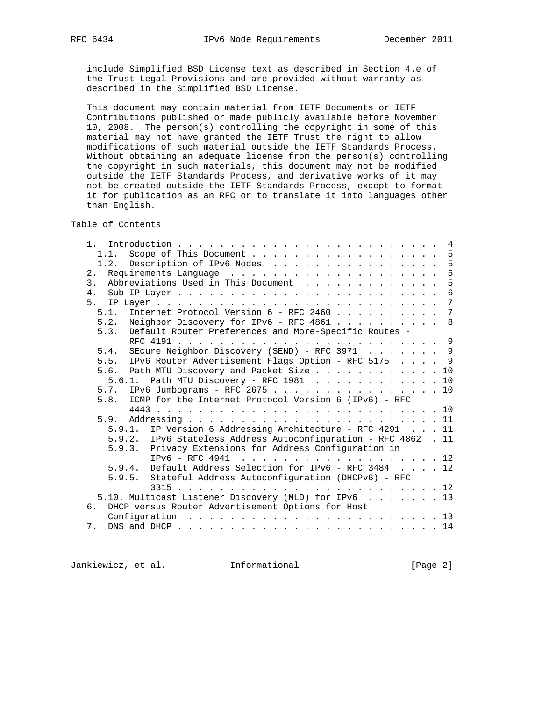include Simplified BSD License text as described in Section 4.e of the Trust Legal Provisions and are provided without warranty as described in the Simplified BSD License.

 This document may contain material from IETF Documents or IETF Contributions published or made publicly available before November 10, 2008. The person(s) controlling the copyright in some of this material may not have granted the IETF Trust the right to allow modifications of such material outside the IETF Standards Process. Without obtaining an adequate license from the person(s) controlling the copyright in such materials, this document may not be modified outside the IETF Standards Process, and derivative works of it may not be created outside the IETF Standards Process, except to format it for publication as an RFC or to translate it into languages other than English.

Table of Contents

| 1.                                                              | $\overline{4}$  |
|-----------------------------------------------------------------|-----------------|
| Scope of This Document 5<br>1.1.                                |                 |
| 1.2. Description of IPv6 Nodes 5                                |                 |
| 2.                                                              | 5               |
| Abbreviations Used in This Document<br>3.                       | 5               |
| 4.                                                              |                 |
|                                                                 | 7               |
| Internet Protocol Version 6 - RFC 2460<br>5.1.                  | $7\phantom{.0}$ |
| Neighbor Discovery for IPv6 - RFC 4861 8<br>5.2.                |                 |
| Default Router Preferences and More-Specific Routes -<br>5.3.   |                 |
|                                                                 |                 |
| 5.4. SEcure Neighbor Discovery (SEND) - RFC 3971 9              |                 |
| 5.5. IPv6 Router Advertisement Flags Option - RFC 5175 9        |                 |
| 5.6. Path MTU Discovery and Packet Size 10                      |                 |
| 5.6.1. Path MTU Discovery - RFC 1981 10                         |                 |
| 5.7. IPv6 Jumbograms - RFC 2675 10                              |                 |
| 5.8. ICMP for the Internet Protocol Version 6 (IPv6) - RFC      |                 |
|                                                                 |                 |
|                                                                 |                 |
| 5.9.1. IP Version 6 Addressing Architecture - RFC 4291 11       |                 |
| 5.9.2. IPv6 Stateless Address Autoconfiguration - RFC 4862 . 11 |                 |
| 5.9.3. Privacy Extensions for Address Configuration in          |                 |
| $TPv6 - RFC 4941$<br>. 12                                       |                 |
| 5.9.4. Default Address Selection for IPv6 - RFC 3484 12         |                 |
| 5.9.5. Stateful Address Autoconfiguration (DHCPv6) - RFC        |                 |
| 3315                                                            |                 |
|                                                                 |                 |
| 5.10. Multicast Listener Discovery (MLD) for IPv6 13<br>რ.      |                 |
| DHCP versus Router Advertisement Options for Host               |                 |
|                                                                 |                 |
| 7.                                                              |                 |

Jankiewicz, et al. 1nformational 1999 [Page 2]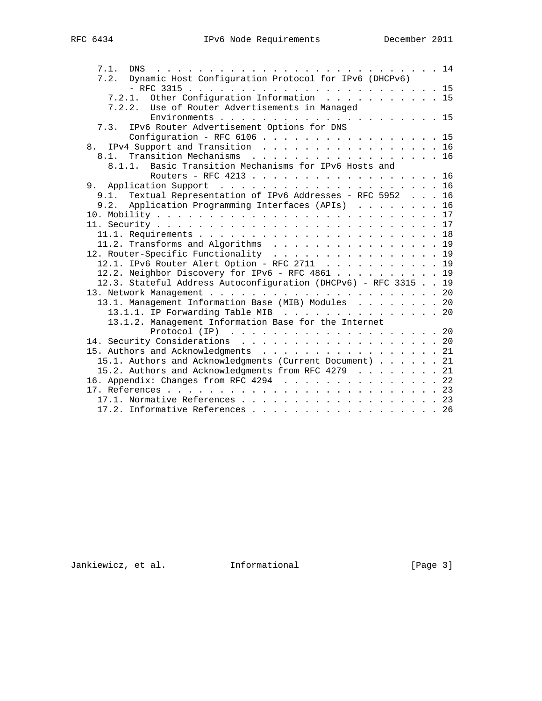| 7.1.                                                            |  |
|-----------------------------------------------------------------|--|
| 7.2. Dynamic Host Configuration Protocol for IPv6 (DHCPv6)      |  |
|                                                                 |  |
| 7.2.1. Other Configuration Information 15                       |  |
| 7.2.2. Use of Router Advertisements in Managed                  |  |
|                                                                 |  |
| IPv6 Router Advertisement Options for DNS<br>7.3.               |  |
| Configuration - RFC 6106 15                                     |  |
| IPv4 Support and Transition 16<br>8.                            |  |
| 8.1. Transition Mechanisms 16                                   |  |
| 8.1.1. Basic Transition Mechanisms for IPv6 Hosts and           |  |
| Routers - RFC 4213 16                                           |  |
|                                                                 |  |
| 9.1. Textual Representation of IPv6 Addresses - RFC 5952 16     |  |
| 9.2. Application Programming Interfaces (APIs) 16               |  |
|                                                                 |  |
|                                                                 |  |
|                                                                 |  |
| 11.2. Transforms and Algorithms 19                              |  |
| 12. Router-Specific Functionality 19                            |  |
| 12.1. IPv6 Router Alert Option - RFC 2711 19                    |  |
| 12.2. Neighbor Discovery for IPv6 - RFC 4861 19                 |  |
| 12.3. Stateful Address Autoconfiguration (DHCPv6) - RFC 3315 19 |  |
|                                                                 |  |
| 13.1. Management Information Base (MIB) Modules 20              |  |
| 13.1.1. IP Forwarding Table MIB 20                              |  |
| 13.1.2. Management Information Base for the Internet            |  |
|                                                                 |  |
| 14. Security Considerations 20                                  |  |
| 15. Authors and Acknowledgments 21                              |  |
| 15.1. Authors and Acknowledgments (Current Document) 21         |  |
| 15.2. Authors and Acknowledgments from RFC 4279 21              |  |
| 16. Appendix: Changes from RFC 4294 22                          |  |
|                                                                 |  |
|                                                                 |  |
| 17.2. Informative References 26                                 |  |
|                                                                 |  |

Jankiewicz, et al. 1nformational [Page 3]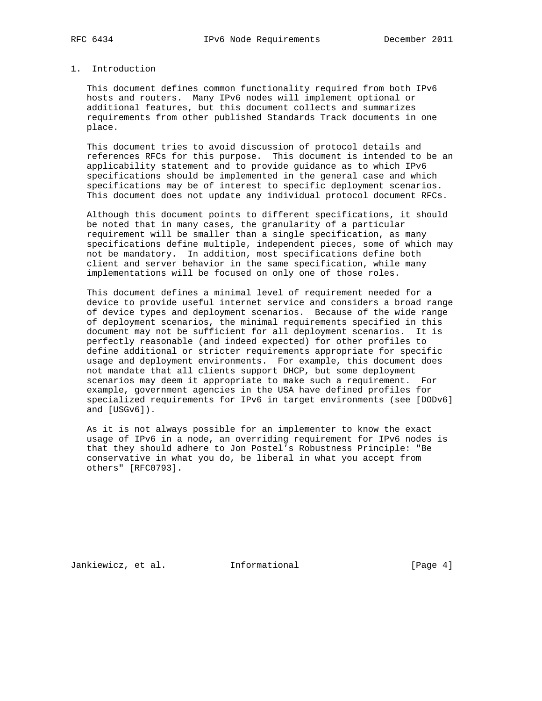# 1. Introduction

 This document defines common functionality required from both IPv6 hosts and routers. Many IPv6 nodes will implement optional or additional features, but this document collects and summarizes requirements from other published Standards Track documents in one place.

 This document tries to avoid discussion of protocol details and references RFCs for this purpose. This document is intended to be an applicability statement and to provide guidance as to which IPv6 specifications should be implemented in the general case and which specifications may be of interest to specific deployment scenarios. This document does not update any individual protocol document RFCs.

 Although this document points to different specifications, it should be noted that in many cases, the granularity of a particular requirement will be smaller than a single specification, as many specifications define multiple, independent pieces, some of which may not be mandatory. In addition, most specifications define both client and server behavior in the same specification, while many implementations will be focused on only one of those roles.

 This document defines a minimal level of requirement needed for a device to provide useful internet service and considers a broad range of device types and deployment scenarios. Because of the wide range of deployment scenarios, the minimal requirements specified in this document may not be sufficient for all deployment scenarios. It is perfectly reasonable (and indeed expected) for other profiles to define additional or stricter requirements appropriate for specific usage and deployment environments. For example, this document does not mandate that all clients support DHCP, but some deployment scenarios may deem it appropriate to make such a requirement. For example, government agencies in the USA have defined profiles for specialized requirements for IPv6 in target environments (see [DODv6] and [USGv6]).

 As it is not always possible for an implementer to know the exact usage of IPv6 in a node, an overriding requirement for IPv6 nodes is that they should adhere to Jon Postel's Robustness Principle: "Be conservative in what you do, be liberal in what you accept from others" [RFC0793].

Jankiewicz, et al. Informational [Page 4]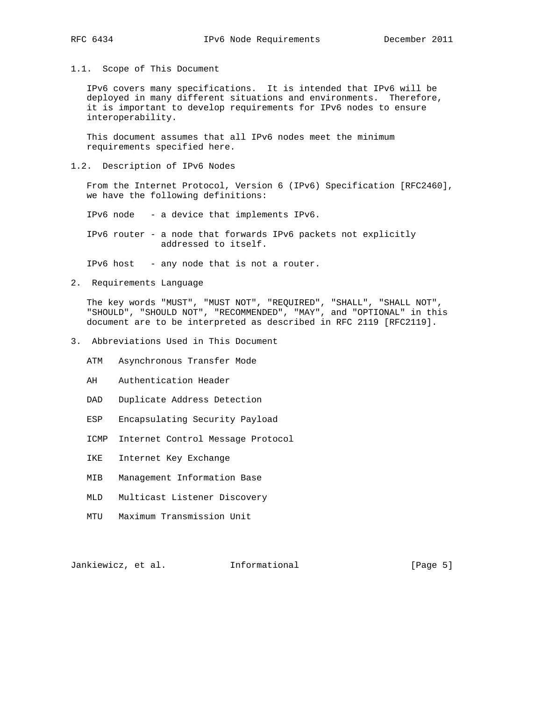1.1. Scope of This Document

 IPv6 covers many specifications. It is intended that IPv6 will be deployed in many different situations and environments. Therefore, it is important to develop requirements for IPv6 nodes to ensure interoperability.

 This document assumes that all IPv6 nodes meet the minimum requirements specified here.

1.2. Description of IPv6 Nodes

 From the Internet Protocol, Version 6 (IPv6) Specification [RFC2460], we have the following definitions:

IPv6 node - a device that implements IPv6.

 IPv6 router - a node that forwards IPv6 packets not explicitly addressed to itself.

IPv6 host - any node that is not a router.

2. Requirements Language

 The key words "MUST", "MUST NOT", "REQUIRED", "SHALL", "SHALL NOT", "SHOULD", "SHOULD NOT", "RECOMMENDED", "MAY", and "OPTIONAL" in this document are to be interpreted as described in RFC 2119 [RFC2119].

- 3. Abbreviations Used in This Document
	- ATM Asynchronous Transfer Mode
	- AH Authentication Header
	- DAD Duplicate Address Detection
	- ESP Encapsulating Security Payload
	- ICMP Internet Control Message Protocol
	- IKE Internet Key Exchange
	- MIB Management Information Base
	- MLD Multicast Listener Discovery
	- MTU Maximum Transmission Unit

Jankiewicz, et al. 1nformational 1998 [Page 5]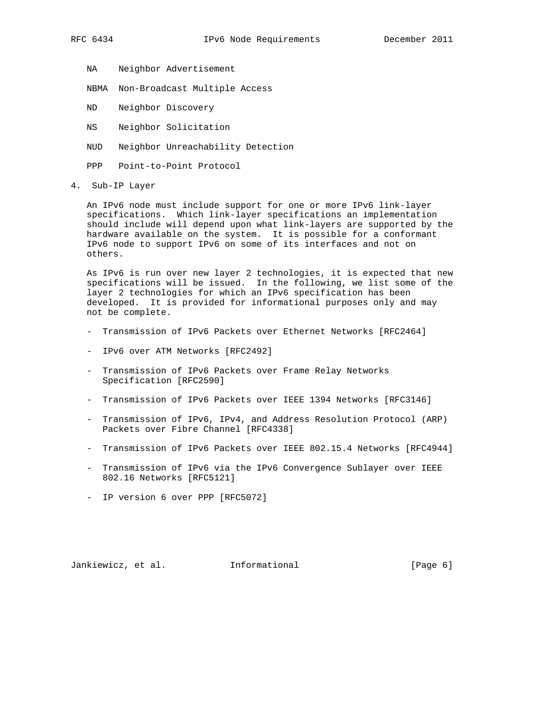NA Neighbor Advertisement

NBMA Non-Broadcast Multiple Access

ND Neighbor Discovery

NS Neighbor Solicitation

NUD Neighbor Unreachability Detection

PPP Point-to-Point Protocol

4. Sub-IP Layer

 An IPv6 node must include support for one or more IPv6 link-layer specifications. Which link-layer specifications an implementation should include will depend upon what link-layers are supported by the hardware available on the system. It is possible for a conformant IPv6 node to support IPv6 on some of its interfaces and not on others.

 As IPv6 is run over new layer 2 technologies, it is expected that new specifications will be issued. In the following, we list some of the layer 2 technologies for which an IPv6 specification has been developed. It is provided for informational purposes only and may not be complete.

- Transmission of IPv6 Packets over Ethernet Networks [RFC2464]
- IPv6 over ATM Networks [RFC2492]
- Transmission of IPv6 Packets over Frame Relay Networks Specification [RFC2590]
- Transmission of IPv6 Packets over IEEE 1394 Networks [RFC3146]
- Transmission of IPv6, IPv4, and Address Resolution Protocol (ARP) Packets over Fibre Channel [RFC4338]
- Transmission of IPv6 Packets over IEEE 802.15.4 Networks [RFC4944]
- Transmission of IPv6 via the IPv6 Convergence Sublayer over IEEE 802.16 Networks [RFC5121]
- IP version 6 over PPP [RFC5072]

Jankiewicz, et al. Informational [Page 6]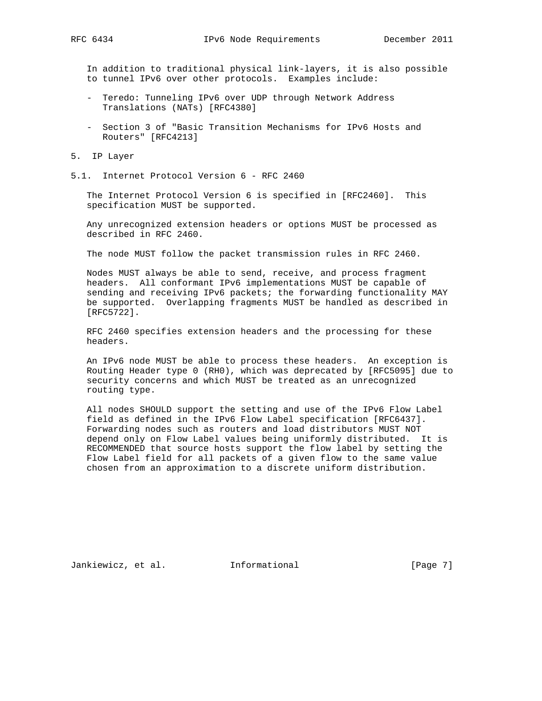In addition to traditional physical link-layers, it is also possible to tunnel IPv6 over other protocols. Examples include:

- Teredo: Tunneling IPv6 over UDP through Network Address Translations (NATs) [RFC4380]
- Section 3 of "Basic Transition Mechanisms for IPv6 Hosts and Routers" [RFC4213]
- 5. IP Layer
- 5.1. Internet Protocol Version 6 RFC 2460

 The Internet Protocol Version 6 is specified in [RFC2460]. This specification MUST be supported.

 Any unrecognized extension headers or options MUST be processed as described in RFC 2460.

The node MUST follow the packet transmission rules in RFC 2460.

 Nodes MUST always be able to send, receive, and process fragment headers. All conformant IPv6 implementations MUST be capable of sending and receiving IPv6 packets; the forwarding functionality MAY be supported. Overlapping fragments MUST be handled as described in [RFC5722].

 RFC 2460 specifies extension headers and the processing for these headers.

 An IPv6 node MUST be able to process these headers. An exception is Routing Header type 0 (RH0), which was deprecated by [RFC5095] due to security concerns and which MUST be treated as an unrecognized routing type.

 All nodes SHOULD support the setting and use of the IPv6 Flow Label field as defined in the IPv6 Flow Label specification [RFC6437]. Forwarding nodes such as routers and load distributors MUST NOT depend only on Flow Label values being uniformly distributed. It is RECOMMENDED that source hosts support the flow label by setting the Flow Label field for all packets of a given flow to the same value chosen from an approximation to a discrete uniform distribution.

Jankiewicz, et al. 1nformational 1998 [Page 7]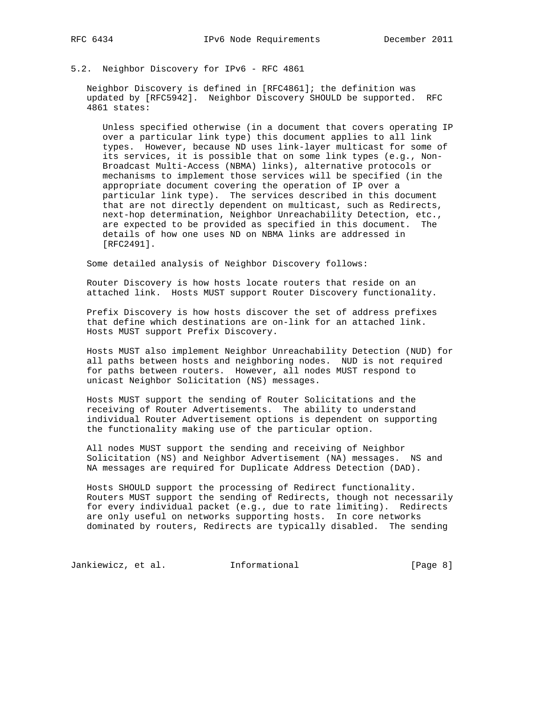# 5.2. Neighbor Discovery for IPv6 - RFC 4861

 Neighbor Discovery is defined in [RFC4861]; the definition was updated by [RFC5942]. Neighbor Discovery SHOULD be supported. RFC 4861 states:

 Unless specified otherwise (in a document that covers operating IP over a particular link type) this document applies to all link types. However, because ND uses link-layer multicast for some of its services, it is possible that on some link types (e.g., Non- Broadcast Multi-Access (NBMA) links), alternative protocols or mechanisms to implement those services will be specified (in the appropriate document covering the operation of IP over a particular link type). The services described in this document that are not directly dependent on multicast, such as Redirects, next-hop determination, Neighbor Unreachability Detection, etc., are expected to be provided as specified in this document. The details of how one uses ND on NBMA links are addressed in [RFC2491].

Some detailed analysis of Neighbor Discovery follows:

 Router Discovery is how hosts locate routers that reside on an attached link. Hosts MUST support Router Discovery functionality.

 Prefix Discovery is how hosts discover the set of address prefixes that define which destinations are on-link for an attached link. Hosts MUST support Prefix Discovery.

 Hosts MUST also implement Neighbor Unreachability Detection (NUD) for all paths between hosts and neighboring nodes. NUD is not required for paths between routers. However, all nodes MUST respond to unicast Neighbor Solicitation (NS) messages.

 Hosts MUST support the sending of Router Solicitations and the receiving of Router Advertisements. The ability to understand individual Router Advertisement options is dependent on supporting the functionality making use of the particular option.

 All nodes MUST support the sending and receiving of Neighbor Solicitation (NS) and Neighbor Advertisement (NA) messages. NS and NA messages are required for Duplicate Address Detection (DAD).

 Hosts SHOULD support the processing of Redirect functionality. Routers MUST support the sending of Redirects, though not necessarily for every individual packet (e.g., due to rate limiting). Redirects are only useful on networks supporting hosts. In core networks dominated by routers, Redirects are typically disabled. The sending

Jankiewicz, et al. 1nformational 1999 [Page 8]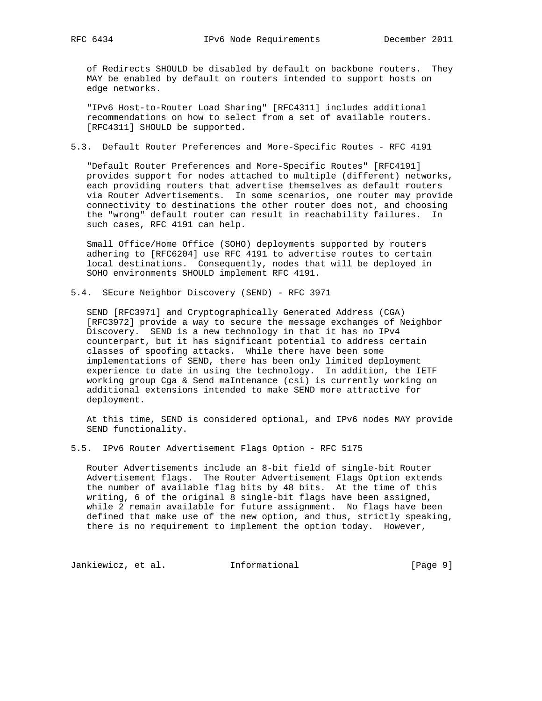of Redirects SHOULD be disabled by default on backbone routers. They MAY be enabled by default on routers intended to support hosts on edge networks.

 "IPv6 Host-to-Router Load Sharing" [RFC4311] includes additional recommendations on how to select from a set of available routers. [RFC4311] SHOULD be supported.

## 5.3. Default Router Preferences and More-Specific Routes - RFC 4191

 "Default Router Preferences and More-Specific Routes" [RFC4191] provides support for nodes attached to multiple (different) networks, each providing routers that advertise themselves as default routers via Router Advertisements. In some scenarios, one router may provide connectivity to destinations the other router does not, and choosing the "wrong" default router can result in reachability failures. In such cases, RFC 4191 can help.

 Small Office/Home Office (SOHO) deployments supported by routers adhering to [RFC6204] use RFC 4191 to advertise routes to certain local destinations. Consequently, nodes that will be deployed in SOHO environments SHOULD implement RFC 4191.

5.4. SEcure Neighbor Discovery (SEND) - RFC 3971

 SEND [RFC3971] and Cryptographically Generated Address (CGA) [RFC3972] provide a way to secure the message exchanges of Neighbor Discovery. SEND is a new technology in that it has no IPv4 counterpart, but it has significant potential to address certain classes of spoofing attacks. While there have been some implementations of SEND, there has been only limited deployment experience to date in using the technology. In addition, the IETF working group Cga & Send maIntenance (csi) is currently working on additional extensions intended to make SEND more attractive for deployment.

 At this time, SEND is considered optional, and IPv6 nodes MAY provide SEND functionality.

5.5. IPv6 Router Advertisement Flags Option - RFC 5175

 Router Advertisements include an 8-bit field of single-bit Router Advertisement flags. The Router Advertisement Flags Option extends the number of available flag bits by 48 bits. At the time of this writing, 6 of the original 8 single-bit flags have been assigned, while 2 remain available for future assignment. No flags have been defined that make use of the new option, and thus, strictly speaking, there is no requirement to implement the option today. However,

Jankiewicz, et al. 1nformational 1999 [Page 9]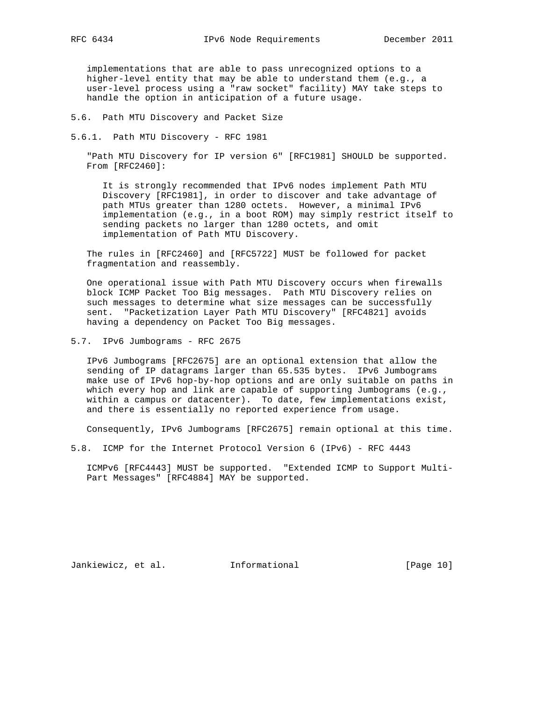implementations that are able to pass unrecognized options to a higher-level entity that may be able to understand them (e.g., a user-level process using a "raw socket" facility) MAY take steps to handle the option in anticipation of a future usage.

5.6. Path MTU Discovery and Packet Size

5.6.1. Path MTU Discovery - RFC 1981

 "Path MTU Discovery for IP version 6" [RFC1981] SHOULD be supported. From [RFC2460]:

 It is strongly recommended that IPv6 nodes implement Path MTU Discovery [RFC1981], in order to discover and take advantage of path MTUs greater than 1280 octets. However, a minimal IPv6 implementation (e.g., in a boot ROM) may simply restrict itself to sending packets no larger than 1280 octets, and omit implementation of Path MTU Discovery.

 The rules in [RFC2460] and [RFC5722] MUST be followed for packet fragmentation and reassembly.

 One operational issue with Path MTU Discovery occurs when firewalls block ICMP Packet Too Big messages. Path MTU Discovery relies on such messages to determine what size messages can be successfully sent. "Packetization Layer Path MTU Discovery" [RFC4821] avoids having a dependency on Packet Too Big messages.

5.7. IPv6 Jumbograms - RFC 2675

 IPv6 Jumbograms [RFC2675] are an optional extension that allow the sending of IP datagrams larger than 65.535 bytes. IPv6 Jumbograms make use of IPv6 hop-by-hop options and are only suitable on paths in which every hop and link are capable of supporting Jumbograms (e.g., within a campus or datacenter). To date, few implementations exist, and there is essentially no reported experience from usage.

Consequently, IPv6 Jumbograms [RFC2675] remain optional at this time.

5.8. ICMP for the Internet Protocol Version 6 (IPv6) - RFC 4443

 ICMPv6 [RFC4443] MUST be supported. "Extended ICMP to Support Multi- Part Messages" [RFC4884] MAY be supported.

Jankiewicz, et al. 1nformational [Page 10]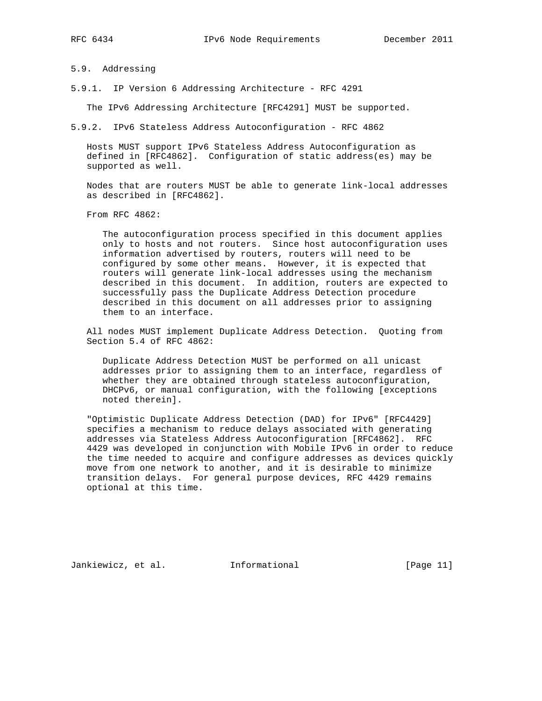5.9. Addressing

5.9.1. IP Version 6 Addressing Architecture - RFC 4291

The IPv6 Addressing Architecture [RFC4291] MUST be supported.

5.9.2. IPv6 Stateless Address Autoconfiguration - RFC 4862

 Hosts MUST support IPv6 Stateless Address Autoconfiguration as defined in [RFC4862]. Configuration of static address(es) may be supported as well.

 Nodes that are routers MUST be able to generate link-local addresses as described in [RFC4862].

From RFC 4862:

 The autoconfiguration process specified in this document applies only to hosts and not routers. Since host autoconfiguration uses information advertised by routers, routers will need to be configured by some other means. However, it is expected that routers will generate link-local addresses using the mechanism described in this document. In addition, routers are expected to successfully pass the Duplicate Address Detection procedure described in this document on all addresses prior to assigning them to an interface.

 All nodes MUST implement Duplicate Address Detection. Quoting from Section 5.4 of RFC 4862:

 Duplicate Address Detection MUST be performed on all unicast addresses prior to assigning them to an interface, regardless of whether they are obtained through stateless autoconfiguration, DHCPv6, or manual configuration, with the following [exceptions noted therein].

 "Optimistic Duplicate Address Detection (DAD) for IPv6" [RFC4429] specifies a mechanism to reduce delays associated with generating addresses via Stateless Address Autoconfiguration [RFC4862]. RFC 4429 was developed in conjunction with Mobile IPv6 in order to reduce the time needed to acquire and configure addresses as devices quickly move from one network to another, and it is desirable to minimize transition delays. For general purpose devices, RFC 4429 remains optional at this time.

Jankiewicz, et al. 1nformational [Page 11]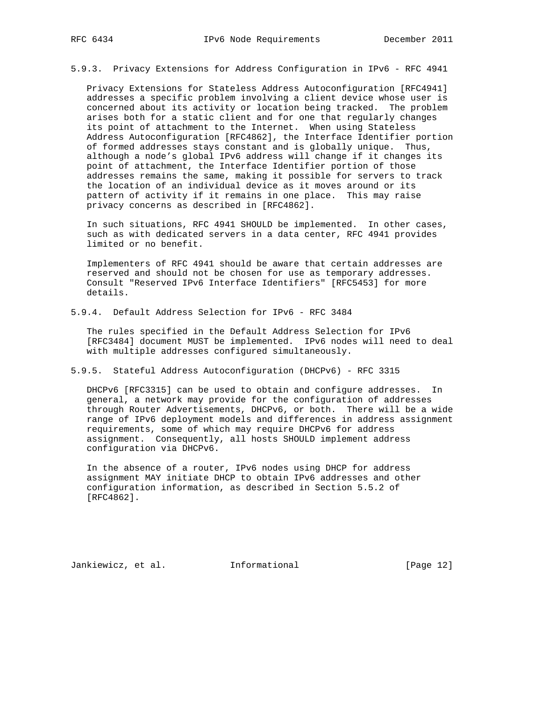5.9.3. Privacy Extensions for Address Configuration in IPv6 - RFC 4941

 Privacy Extensions for Stateless Address Autoconfiguration [RFC4941] addresses a specific problem involving a client device whose user is concerned about its activity or location being tracked. The problem arises both for a static client and for one that regularly changes its point of attachment to the Internet. When using Stateless Address Autoconfiguration [RFC4862], the Interface Identifier portion of formed addresses stays constant and is globally unique. Thus, although a node's global IPv6 address will change if it changes its point of attachment, the Interface Identifier portion of those addresses remains the same, making it possible for servers to track the location of an individual device as it moves around or its pattern of activity if it remains in one place. This may raise privacy concerns as described in [RFC4862].

 In such situations, RFC 4941 SHOULD be implemented. In other cases, such as with dedicated servers in a data center, RFC 4941 provides limited or no benefit.

 Implementers of RFC 4941 should be aware that certain addresses are reserved and should not be chosen for use as temporary addresses. Consult "Reserved IPv6 Interface Identifiers" [RFC5453] for more details.

5.9.4. Default Address Selection for IPv6 - RFC 3484

 The rules specified in the Default Address Selection for IPv6 [RFC3484] document MUST be implemented. IPv6 nodes will need to deal with multiple addresses configured simultaneously.

5.9.5. Stateful Address Autoconfiguration (DHCPv6) - RFC 3315

 DHCPv6 [RFC3315] can be used to obtain and configure addresses. In general, a network may provide for the configuration of addresses through Router Advertisements, DHCPv6, or both. There will be a wide range of IPv6 deployment models and differences in address assignment requirements, some of which may require DHCPv6 for address assignment. Consequently, all hosts SHOULD implement address configuration via DHCPv6.

 In the absence of a router, IPv6 nodes using DHCP for address assignment MAY initiate DHCP to obtain IPv6 addresses and other configuration information, as described in Section 5.5.2 of [RFC4862].

Jankiewicz, et al. 1nformational [Page 12]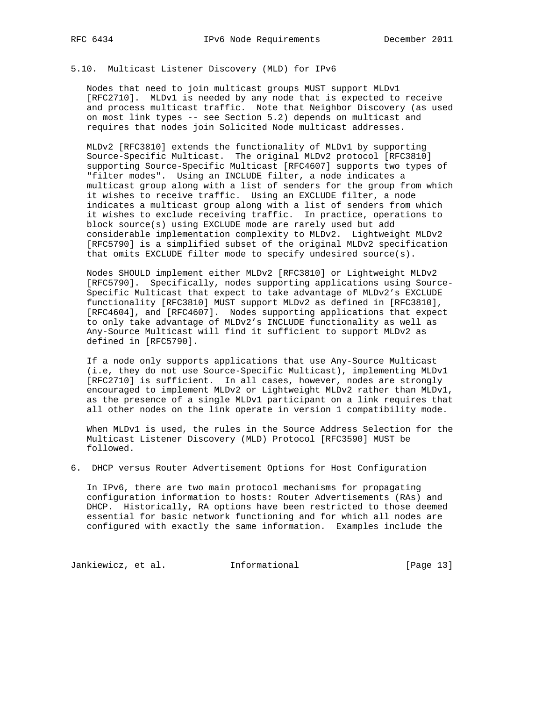# 5.10. Multicast Listener Discovery (MLD) for IPv6

 Nodes that need to join multicast groups MUST support MLDv1 [RFC2710]. MLDv1 is needed by any node that is expected to receive and process multicast traffic. Note that Neighbor Discovery (as used on most link types -- see Section 5.2) depends on multicast and requires that nodes join Solicited Node multicast addresses.

 MLDv2 [RFC3810] extends the functionality of MLDv1 by supporting Source-Specific Multicast. The original MLDv2 protocol [RFC3810] supporting Source-Specific Multicast [RFC4607] supports two types of "filter modes". Using an INCLUDE filter, a node indicates a multicast group along with a list of senders for the group from which it wishes to receive traffic. Using an EXCLUDE filter, a node indicates a multicast group along with a list of senders from which it wishes to exclude receiving traffic. In practice, operations to block source(s) using EXCLUDE mode are rarely used but add considerable implementation complexity to MLDv2. Lightweight MLDv2 [RFC5790] is a simplified subset of the original MLDv2 specification that omits EXCLUDE filter mode to specify undesired source(s).

 Nodes SHOULD implement either MLDv2 [RFC3810] or Lightweight MLDv2 [RFC5790]. Specifically, nodes supporting applications using Source- Specific Multicast that expect to take advantage of MLDv2's EXCLUDE functionality [RFC3810] MUST support MLDv2 as defined in [RFC3810], [RFC4604], and [RFC4607]. Nodes supporting applications that expect to only take advantage of MLDv2's INCLUDE functionality as well as Any-Source Multicast will find it sufficient to support MLDv2 as defined in [RFC5790].

 If a node only supports applications that use Any-Source Multicast (i.e, they do not use Source-Specific Multicast), implementing MLDv1 [RFC2710] is sufficient. In all cases, however, nodes are strongly encouraged to implement MLDv2 or Lightweight MLDv2 rather than MLDv1, as the presence of a single MLDv1 participant on a link requires that all other nodes on the link operate in version 1 compatibility mode.

 When MLDv1 is used, the rules in the Source Address Selection for the Multicast Listener Discovery (MLD) Protocol [RFC3590] MUST be followed.

6. DHCP versus Router Advertisement Options for Host Configuration

 In IPv6, there are two main protocol mechanisms for propagating configuration information to hosts: Router Advertisements (RAs) and DHCP. Historically, RA options have been restricted to those deemed essential for basic network functioning and for which all nodes are configured with exactly the same information. Examples include the

Jankiewicz, et al. 1nformational [Page 13]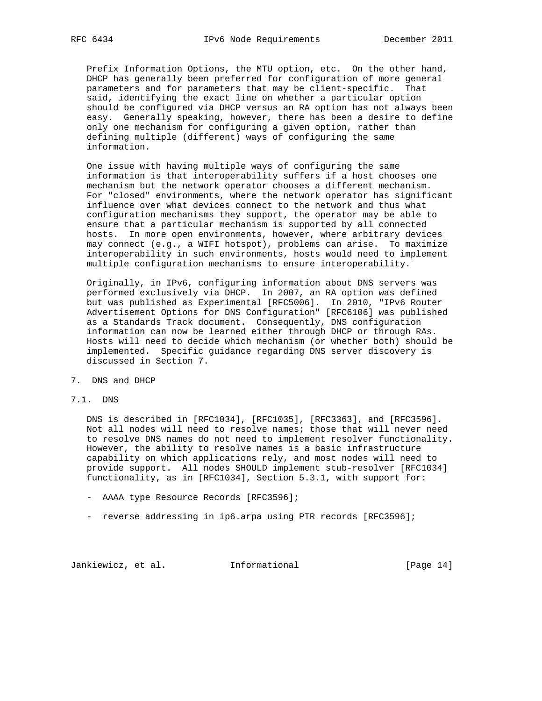Prefix Information Options, the MTU option, etc. On the other hand, DHCP has generally been preferred for configuration of more general parameters and for parameters that may be client-specific. That said, identifying the exact line on whether a particular option should be configured via DHCP versus an RA option has not always been easy. Generally speaking, however, there has been a desire to define only one mechanism for configuring a given option, rather than defining multiple (different) ways of configuring the same information.

 One issue with having multiple ways of configuring the same information is that interoperability suffers if a host chooses one mechanism but the network operator chooses a different mechanism. For "closed" environments, where the network operator has significant influence over what devices connect to the network and thus what configuration mechanisms they support, the operator may be able to ensure that a particular mechanism is supported by all connected hosts. In more open environments, however, where arbitrary devices may connect (e.g., a WIFI hotspot), problems can arise. To maximize interoperability in such environments, hosts would need to implement multiple configuration mechanisms to ensure interoperability.

 Originally, in IPv6, configuring information about DNS servers was performed exclusively via DHCP. In 2007, an RA option was defined but was published as Experimental [RFC5006]. In 2010, "IPv6 Router Advertisement Options for DNS Configuration" [RFC6106] was published as a Standards Track document. Consequently, DNS configuration information can now be learned either through DHCP or through RAs. Hosts will need to decide which mechanism (or whether both) should be implemented. Specific guidance regarding DNS server discovery is discussed in Section 7.

- 7. DNS and DHCP
- 7.1. DNS

 DNS is described in [RFC1034], [RFC1035], [RFC3363], and [RFC3596]. Not all nodes will need to resolve names; those that will never need to resolve DNS names do not need to implement resolver functionality. However, the ability to resolve names is a basic infrastructure capability on which applications rely, and most nodes will need to provide support. All nodes SHOULD implement stub-resolver [RFC1034] functionality, as in [RFC1034], Section 5.3.1, with support for:

- AAAA type Resource Records [RFC3596];
- reverse addressing in ip6.arpa using PTR records [RFC3596];

Jankiewicz, et al. 1nformational [Page 14]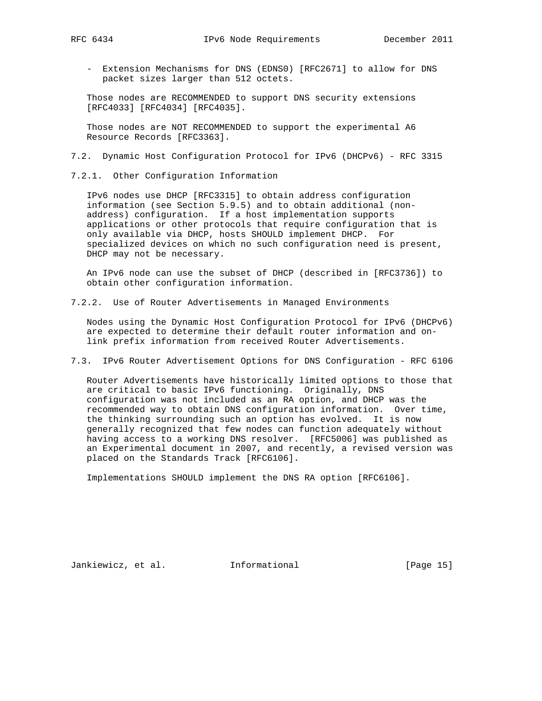- - Extension Mechanisms for DNS (EDNS0) [RFC2671] to allow for DNS packet sizes larger than 512 octets.

 Those nodes are RECOMMENDED to support DNS security extensions [RFC4033] [RFC4034] [RFC4035].

 Those nodes are NOT RECOMMENDED to support the experimental A6 Resource Records [RFC3363].

- 7.2. Dynamic Host Configuration Protocol for IPv6 (DHCPv6) RFC 3315
- 7.2.1. Other Configuration Information

 IPv6 nodes use DHCP [RFC3315] to obtain address configuration information (see Section 5.9.5) and to obtain additional (non address) configuration. If a host implementation supports applications or other protocols that require configuration that is only available via DHCP, hosts SHOULD implement DHCP. For specialized devices on which no such configuration need is present, DHCP may not be necessary.

 An IPv6 node can use the subset of DHCP (described in [RFC3736]) to obtain other configuration information.

7.2.2. Use of Router Advertisements in Managed Environments

 Nodes using the Dynamic Host Configuration Protocol for IPv6 (DHCPv6) are expected to determine their default router information and on link prefix information from received Router Advertisements.

7.3. IPv6 Router Advertisement Options for DNS Configuration - RFC 6106

 Router Advertisements have historically limited options to those that are critical to basic IPv6 functioning. Originally, DNS configuration was not included as an RA option, and DHCP was the recommended way to obtain DNS configuration information. Over time, the thinking surrounding such an option has evolved. It is now generally recognized that few nodes can function adequately without having access to a working DNS resolver. [RFC5006] was published as an Experimental document in 2007, and recently, a revised version was placed on the Standards Track [RFC6106].

Implementations SHOULD implement the DNS RA option [RFC6106].

Jankiewicz, et al. 1nformational [Page 15]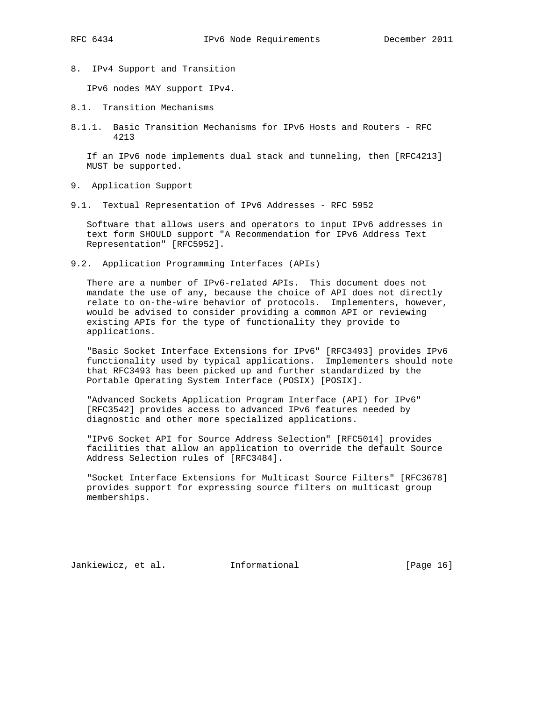8. IPv4 Support and Transition

IPv6 nodes MAY support IPv4.

- 8.1. Transition Mechanisms
- 8.1.1. Basic Transition Mechanisms for IPv6 Hosts and Routers RFC 4213

 If an IPv6 node implements dual stack and tunneling, then [RFC4213] MUST be supported.

- 9. Application Support
- 9.1. Textual Representation of IPv6 Addresses RFC 5952

 Software that allows users and operators to input IPv6 addresses in text form SHOULD support "A Recommendation for IPv6 Address Text Representation" [RFC5952].

9.2. Application Programming Interfaces (APIs)

 There are a number of IPv6-related APIs. This document does not mandate the use of any, because the choice of API does not directly relate to on-the-wire behavior of protocols. Implementers, however, would be advised to consider providing a common API or reviewing existing APIs for the type of functionality they provide to applications.

 "Basic Socket Interface Extensions for IPv6" [RFC3493] provides IPv6 functionality used by typical applications. Implementers should note that RFC3493 has been picked up and further standardized by the Portable Operating System Interface (POSIX) [POSIX].

 "Advanced Sockets Application Program Interface (API) for IPv6" [RFC3542] provides access to advanced IPv6 features needed by diagnostic and other more specialized applications.

 "IPv6 Socket API for Source Address Selection" [RFC5014] provides facilities that allow an application to override the default Source Address Selection rules of [RFC3484].

 "Socket Interface Extensions for Multicast Source Filters" [RFC3678] provides support for expressing source filters on multicast group memberships.

Jankiewicz, et al. 1nformational 1999 [Page 16]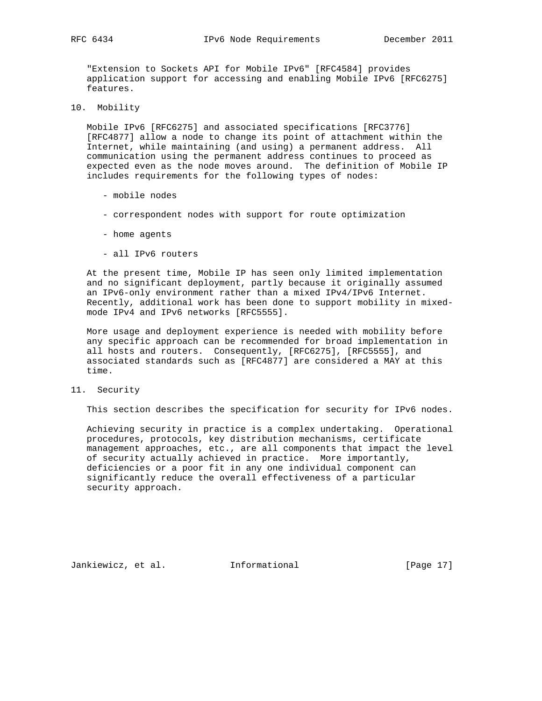"Extension to Sockets API for Mobile IPv6" [RFC4584] provides application support for accessing and enabling Mobile IPv6 [RFC6275] features.

10. Mobility

 Mobile IPv6 [RFC6275] and associated specifications [RFC3776] [RFC4877] allow a node to change its point of attachment within the Internet, while maintaining (and using) a permanent address. All communication using the permanent address continues to proceed as expected even as the node moves around. The definition of Mobile IP includes requirements for the following types of nodes:

- mobile nodes
- correspondent nodes with support for route optimization
- home agents
- all IPv6 routers

 At the present time, Mobile IP has seen only limited implementation and no significant deployment, partly because it originally assumed an IPv6-only environment rather than a mixed IPv4/IPv6 Internet. Recently, additional work has been done to support mobility in mixed mode IPv4 and IPv6 networks [RFC5555].

 More usage and deployment experience is needed with mobility before any specific approach can be recommended for broad implementation in all hosts and routers. Consequently, [RFC6275], [RFC5555], and associated standards such as [RFC4877] are considered a MAY at this time.

11. Security

This section describes the specification for security for IPv6 nodes.

 Achieving security in practice is a complex undertaking. Operational procedures, protocols, key distribution mechanisms, certificate management approaches, etc., are all components that impact the level of security actually achieved in practice. More importantly, deficiencies or a poor fit in any one individual component can significantly reduce the overall effectiveness of a particular security approach.

Jankiewicz, et al. 1nformational [Page 17]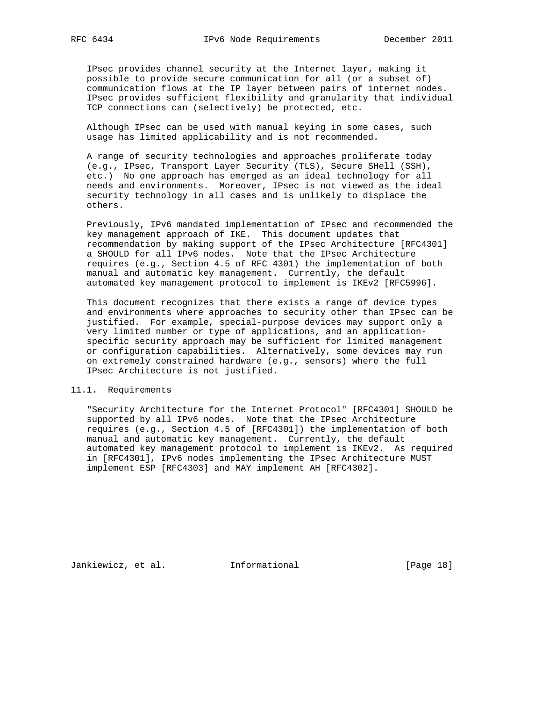IPsec provides channel security at the Internet layer, making it possible to provide secure communication for all (or a subset of) communication flows at the IP layer between pairs of internet nodes. IPsec provides sufficient flexibility and granularity that individual TCP connections can (selectively) be protected, etc.

 Although IPsec can be used with manual keying in some cases, such usage has limited applicability and is not recommended.

 A range of security technologies and approaches proliferate today (e.g., IPsec, Transport Layer Security (TLS), Secure SHell (SSH), etc.) No one approach has emerged as an ideal technology for all needs and environments. Moreover, IPsec is not viewed as the ideal security technology in all cases and is unlikely to displace the others.

 Previously, IPv6 mandated implementation of IPsec and recommended the key management approach of IKE. This document updates that recommendation by making support of the IPsec Architecture [RFC4301] a SHOULD for all IPv6 nodes. Note that the IPsec Architecture requires (e.g., Section 4.5 of RFC 4301) the implementation of both manual and automatic key management. Currently, the default automated key management protocol to implement is IKEv2 [RFC5996].

 This document recognizes that there exists a range of device types and environments where approaches to security other than IPsec can be justified. For example, special-purpose devices may support only a very limited number or type of applications, and an application specific security approach may be sufficient for limited management or configuration capabilities. Alternatively, some devices may run on extremely constrained hardware (e.g., sensors) where the full IPsec Architecture is not justified.

## 11.1. Requirements

 "Security Architecture for the Internet Protocol" [RFC4301] SHOULD be supported by all IPv6 nodes. Note that the IPsec Architecture requires (e.g., Section 4.5 of [RFC4301]) the implementation of both manual and automatic key management. Currently, the default automated key management protocol to implement is IKEv2. As required in [RFC4301], IPv6 nodes implementing the IPsec Architecture MUST implement ESP [RFC4303] and MAY implement AH [RFC4302].

Jankiewicz, et al. 1nformational [Page 18]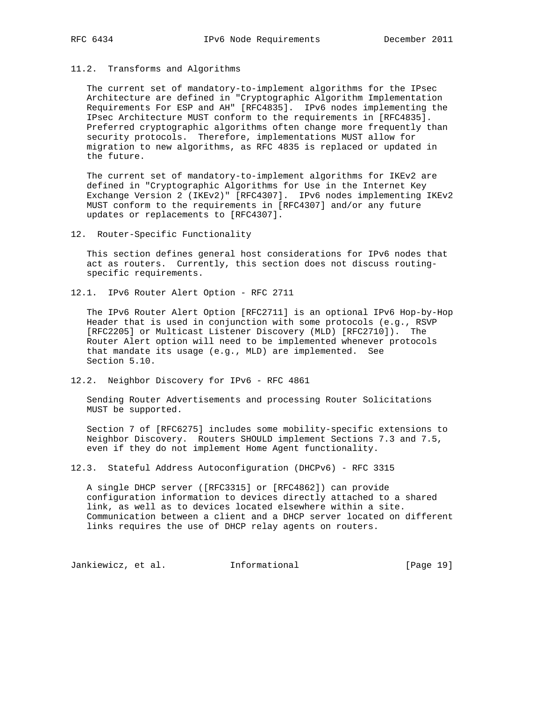### 11.2. Transforms and Algorithms

 The current set of mandatory-to-implement algorithms for the IPsec Architecture are defined in "Cryptographic Algorithm Implementation Requirements For ESP and AH" [RFC4835]. IPv6 nodes implementing the IPsec Architecture MUST conform to the requirements in [RFC4835]. Preferred cryptographic algorithms often change more frequently than security protocols. Therefore, implementations MUST allow for migration to new algorithms, as RFC 4835 is replaced or updated in the future.

 The current set of mandatory-to-implement algorithms for IKEv2 are defined in "Cryptographic Algorithms for Use in the Internet Key Exchange Version 2 (IKEv2)" [RFC4307]. IPv6 nodes implementing IKEv2 MUST conform to the requirements in [RFC4307] and/or any future updates or replacements to [RFC4307].

12. Router-Specific Functionality

 This section defines general host considerations for IPv6 nodes that act as routers. Currently, this section does not discuss routing specific requirements.

12.1. IPv6 Router Alert Option - RFC 2711

 The IPv6 Router Alert Option [RFC2711] is an optional IPv6 Hop-by-Hop Header that is used in conjunction with some protocols (e.g., RSVP [RFC2205] or Multicast Listener Discovery (MLD) [RFC2710]). The Router Alert option will need to be implemented whenever protocols that mandate its usage (e.g., MLD) are implemented. See Section 5.10.

12.2. Neighbor Discovery for IPv6 - RFC 4861

 Sending Router Advertisements and processing Router Solicitations MUST be supported.

 Section 7 of [RFC6275] includes some mobility-specific extensions to Neighbor Discovery. Routers SHOULD implement Sections 7.3 and 7.5, even if they do not implement Home Agent functionality.

12.3. Stateful Address Autoconfiguration (DHCPv6) - RFC 3315

 A single DHCP server ([RFC3315] or [RFC4862]) can provide configuration information to devices directly attached to a shared link, as well as to devices located elsewhere within a site. Communication between a client and a DHCP server located on different links requires the use of DHCP relay agents on routers.

Jankiewicz, et al. 1nformational [Page 19]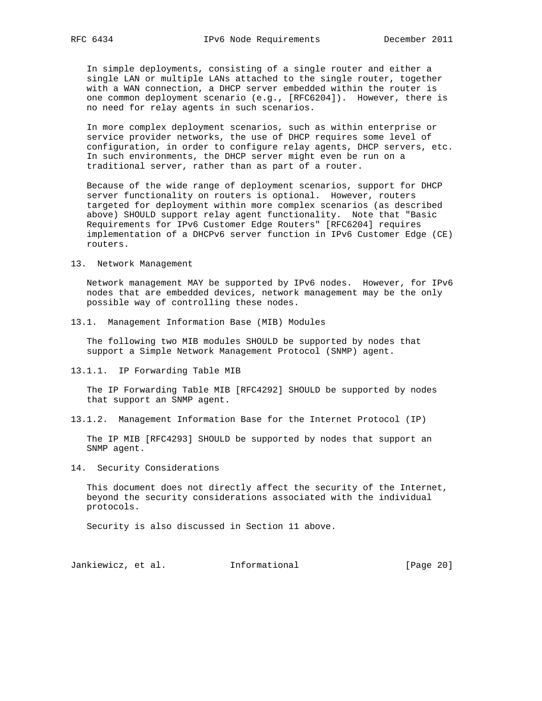In simple deployments, consisting of a single router and either a single LAN or multiple LANs attached to the single router, together with a WAN connection, a DHCP server embedded within the router is one common deployment scenario (e.g., [RFC6204]). However, there is no need for relay agents in such scenarios.

 In more complex deployment scenarios, such as within enterprise or service provider networks, the use of DHCP requires some level of configuration, in order to configure relay agents, DHCP servers, etc. In such environments, the DHCP server might even be run on a traditional server, rather than as part of a router.

 Because of the wide range of deployment scenarios, support for DHCP server functionality on routers is optional. However, routers targeted for deployment within more complex scenarios (as described above) SHOULD support relay agent functionality. Note that "Basic Requirements for IPv6 Customer Edge Routers" [RFC6204] requires implementation of a DHCPv6 server function in IPv6 Customer Edge (CE) routers.

13. Network Management

 Network management MAY be supported by IPv6 nodes. However, for IPv6 nodes that are embedded devices, network management may be the only possible way of controlling these nodes.

13.1. Management Information Base (MIB) Modules

 The following two MIB modules SHOULD be supported by nodes that support a Simple Network Management Protocol (SNMP) agent.

13.1.1. IP Forwarding Table MIB

 The IP Forwarding Table MIB [RFC4292] SHOULD be supported by nodes that support an SNMP agent.

13.1.2. Management Information Base for the Internet Protocol (IP)

 The IP MIB [RFC4293] SHOULD be supported by nodes that support an SNMP agent.

14. Security Considerations

 This document does not directly affect the security of the Internet, beyond the security considerations associated with the individual protocols.

Security is also discussed in Section 11 above.

Jankiewicz, et al. 1nformational [Page 20]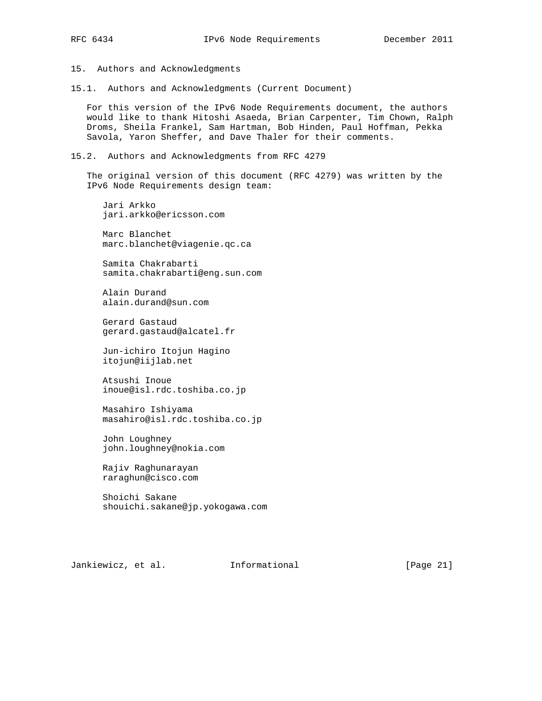15. Authors and Acknowledgments

15.1. Authors and Acknowledgments (Current Document)

 For this version of the IPv6 Node Requirements document, the authors would like to thank Hitoshi Asaeda, Brian Carpenter, Tim Chown, Ralph Droms, Sheila Frankel, Sam Hartman, Bob Hinden, Paul Hoffman, Pekka Savola, Yaron Sheffer, and Dave Thaler for their comments.

15.2. Authors and Acknowledgments from RFC 4279

 The original version of this document (RFC 4279) was written by the IPv6 Node Requirements design team:

 Jari Arkko jari.arkko@ericsson.com

 Marc Blanchet marc.blanchet@viagenie.qc.ca

 Samita Chakrabarti samita.chakrabarti@eng.sun.com

 Alain Durand alain.durand@sun.com

 Gerard Gastaud gerard.gastaud@alcatel.fr

 Jun-ichiro Itojun Hagino itojun@iijlab.net

 Atsushi Inoue inoue@isl.rdc.toshiba.co.jp

 Masahiro Ishiyama masahiro@isl.rdc.toshiba.co.jp

 John Loughney john.loughney@nokia.com

 Rajiv Raghunarayan raraghun@cisco.com

 Shoichi Sakane shouichi.sakane@jp.yokogawa.com

Jankiewicz, et al. Informational [Page 21]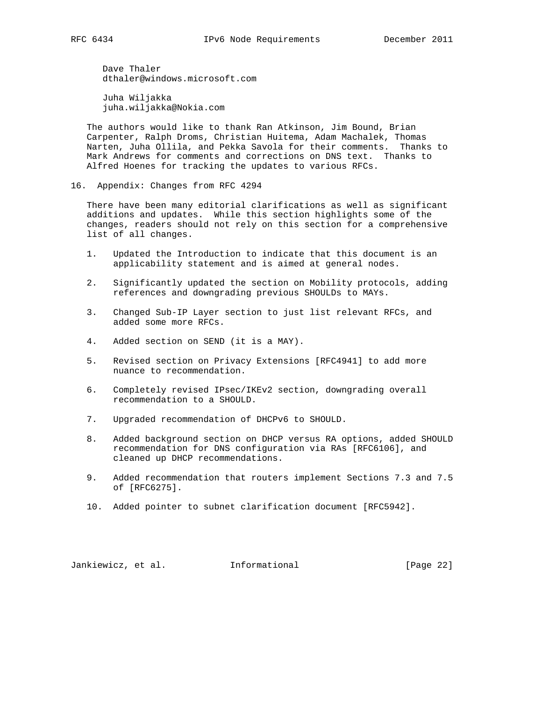Dave Thaler dthaler@windows.microsoft.com

 Juha Wiljakka juha.wiljakka@Nokia.com

 The authors would like to thank Ran Atkinson, Jim Bound, Brian Carpenter, Ralph Droms, Christian Huitema, Adam Machalek, Thomas Narten, Juha Ollila, and Pekka Savola for their comments. Thanks to Mark Andrews for comments and corrections on DNS text. Thanks to Alfred Hoenes for tracking the updates to various RFCs.

16. Appendix: Changes from RFC 4294

 There have been many editorial clarifications as well as significant additions and updates. While this section highlights some of the changes, readers should not rely on this section for a comprehensive list of all changes.

- 1. Updated the Introduction to indicate that this document is an applicability statement and is aimed at general nodes.
- 2. Significantly updated the section on Mobility protocols, adding references and downgrading previous SHOULDs to MAYs.
- 3. Changed Sub-IP Layer section to just list relevant RFCs, and added some more RFCs.
- 4. Added section on SEND (it is a MAY).
- 5. Revised section on Privacy Extensions [RFC4941] to add more nuance to recommendation.
- 6. Completely revised IPsec/IKEv2 section, downgrading overall recommendation to a SHOULD.
- 7. Upgraded recommendation of DHCPv6 to SHOULD.
- 8. Added background section on DHCP versus RA options, added SHOULD recommendation for DNS configuration via RAs [RFC6106], and cleaned up DHCP recommendations.
- 9. Added recommendation that routers implement Sections 7.3 and 7.5 of [RFC6275].
- 10. Added pointer to subnet clarification document [RFC5942].

Jankiewicz, et al. 1nformational [Page 22]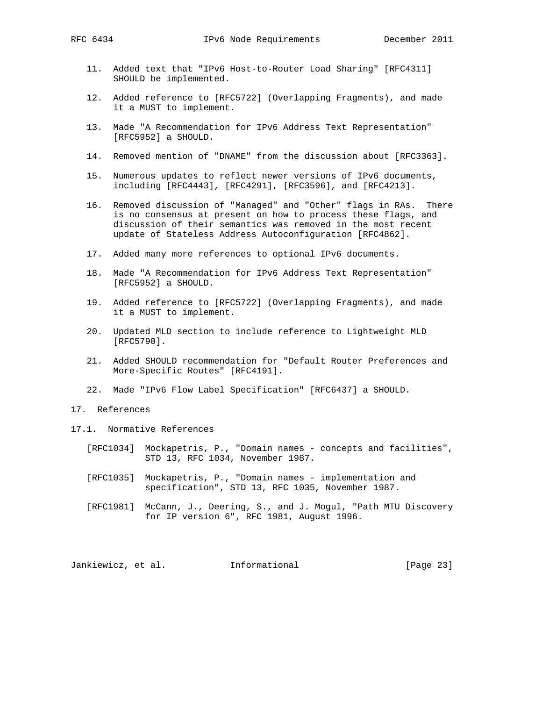- 11. Added text that "IPv6 Host-to-Router Load Sharing" [RFC4311] SHOULD be implemented.
- 12. Added reference to [RFC5722] (Overlapping Fragments), and made it a MUST to implement.
- 13. Made "A Recommendation for IPv6 Address Text Representation" [RFC5952] a SHOULD.
- 14. Removed mention of "DNAME" from the discussion about [RFC3363].
- 15. Numerous updates to reflect newer versions of IPv6 documents, including [RFC4443], [RFC4291], [RFC3596], and [RFC4213].
- 16. Removed discussion of "Managed" and "Other" flags in RAs. There is no consensus at present on how to process these flags, and discussion of their semantics was removed in the most recent update of Stateless Address Autoconfiguration [RFC4862].
- 17. Added many more references to optional IPv6 documents.
- 18. Made "A Recommendation for IPv6 Address Text Representation" [RFC5952] a SHOULD.
- 19. Added reference to [RFC5722] (Overlapping Fragments), and made it a MUST to implement.
- 20. Updated MLD section to include reference to Lightweight MLD [RFC5790].
- 21. Added SHOULD recommendation for "Default Router Preferences and More-Specific Routes" [RFC4191].
- 22. Made "IPv6 Flow Label Specification" [RFC6437] a SHOULD.
- 17. References
- 17.1. Normative References
	- [RFC1034] Mockapetris, P., "Domain names concepts and facilities", STD 13, RFC 1034, November 1987.
	- [RFC1035] Mockapetris, P., "Domain names implementation and specification", STD 13, RFC 1035, November 1987.
	- [RFC1981] McCann, J., Deering, S., and J. Mogul, "Path MTU Discovery for IP version 6", RFC 1981, August 1996.

Jankiewicz, et al. 1nformational [Page 23]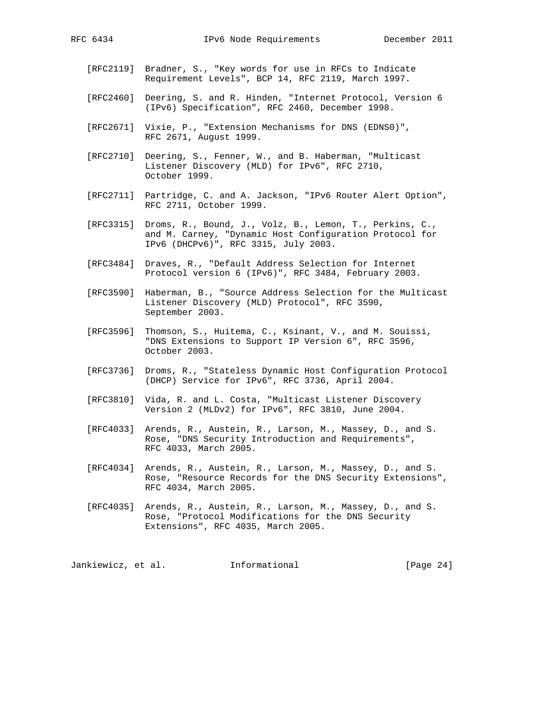- - [RFC2119] Bradner, S., "Key words for use in RFCs to Indicate Requirement Levels", BCP 14, RFC 2119, March 1997.
	- [RFC2460] Deering, S. and R. Hinden, "Internet Protocol, Version 6 (IPv6) Specification", RFC 2460, December 1998.
	- [RFC2671] Vixie, P., "Extension Mechanisms for DNS (EDNS0)", RFC 2671, August 1999.
	- [RFC2710] Deering, S., Fenner, W., and B. Haberman, "Multicast Listener Discovery (MLD) for IPv6", RFC 2710, October 1999.
	- [RFC2711] Partridge, C. and A. Jackson, "IPv6 Router Alert Option", RFC 2711, October 1999.
	- [RFC3315] Droms, R., Bound, J., Volz, B., Lemon, T., Perkins, C., and M. Carney, "Dynamic Host Configuration Protocol for IPv6 (DHCPv6)", RFC 3315, July 2003.
	- [RFC3484] Draves, R., "Default Address Selection for Internet Protocol version 6 (IPv6)", RFC 3484, February 2003.
	- [RFC3590] Haberman, B., "Source Address Selection for the Multicast Listener Discovery (MLD) Protocol", RFC 3590, September 2003.
	- [RFC3596] Thomson, S., Huitema, C., Ksinant, V., and M. Souissi, "DNS Extensions to Support IP Version 6", RFC 3596, October 2003.
	- [RFC3736] Droms, R., "Stateless Dynamic Host Configuration Protocol (DHCP) Service for IPv6", RFC 3736, April 2004.
	- [RFC3810] Vida, R. and L. Costa, "Multicast Listener Discovery Version 2 (MLDv2) for IPv6", RFC 3810, June 2004.
	- [RFC4033] Arends, R., Austein, R., Larson, M., Massey, D., and S. Rose, "DNS Security Introduction and Requirements", RFC 4033, March 2005.
	- [RFC4034] Arends, R., Austein, R., Larson, M., Massey, D., and S. Rose, "Resource Records for the DNS Security Extensions", RFC 4034, March 2005.
	- [RFC4035] Arends, R., Austein, R., Larson, M., Massey, D., and S. Rose, "Protocol Modifications for the DNS Security Extensions", RFC 4035, March 2005.

Jankiewicz, et al. 1nformational [Page 24]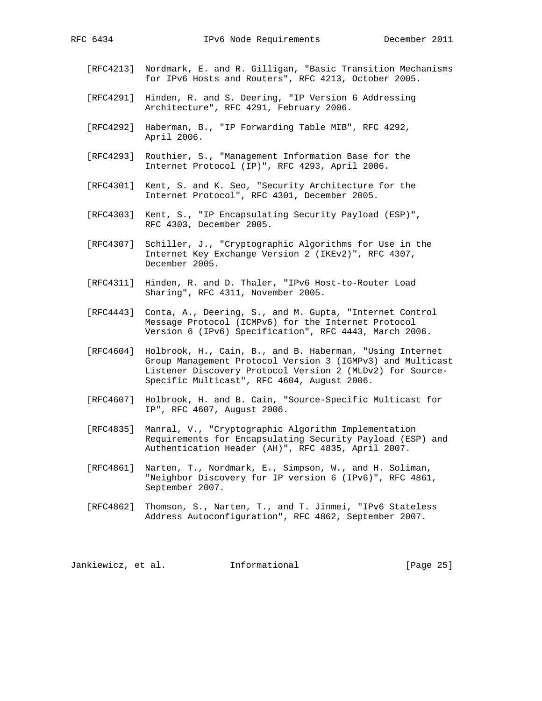- [RFC4213] Nordmark, E. and R. Gilligan, "Basic Transition Mechanisms for IPv6 Hosts and Routers", RFC 4213, October 2005.
- [RFC4291] Hinden, R. and S. Deering, "IP Version 6 Addressing Architecture", RFC 4291, February 2006.
- [RFC4292] Haberman, B., "IP Forwarding Table MIB", RFC 4292, April 2006.
- [RFC4293] Routhier, S., "Management Information Base for the Internet Protocol (IP)", RFC 4293, April 2006.
- [RFC4301] Kent, S. and K. Seo, "Security Architecture for the Internet Protocol", RFC 4301, December 2005.
- [RFC4303] Kent, S., "IP Encapsulating Security Payload (ESP)", RFC 4303, December 2005.
- [RFC4307] Schiller, J., "Cryptographic Algorithms for Use in the Internet Key Exchange Version 2 (IKEv2)", RFC 4307, December 2005.
- [RFC4311] Hinden, R. and D. Thaler, "IPv6 Host-to-Router Load Sharing", RFC 4311, November 2005.
- [RFC4443] Conta, A., Deering, S., and M. Gupta, "Internet Control Message Protocol (ICMPv6) for the Internet Protocol Version 6 (IPv6) Specification", RFC 4443, March 2006.
- [RFC4604] Holbrook, H., Cain, B., and B. Haberman, "Using Internet Group Management Protocol Version 3 (IGMPv3) and Multicast Listener Discovery Protocol Version 2 (MLDv2) for Source- Specific Multicast", RFC 4604, August 2006.
- [RFC4607] Holbrook, H. and B. Cain, "Source-Specific Multicast for IP", RFC 4607, August 2006.
- [RFC4835] Manral, V., "Cryptographic Algorithm Implementation Requirements for Encapsulating Security Payload (ESP) and Authentication Header (AH)", RFC 4835, April 2007.
- [RFC4861] Narten, T., Nordmark, E., Simpson, W., and H. Soliman, "Neighbor Discovery for IP version 6 (IPv6)", RFC 4861, September 2007.
- [RFC4862] Thomson, S., Narten, T., and T. Jinmei, "IPv6 Stateless Address Autoconfiguration", RFC 4862, September 2007.

Jankiewicz, et al. 1nformational [Page 25]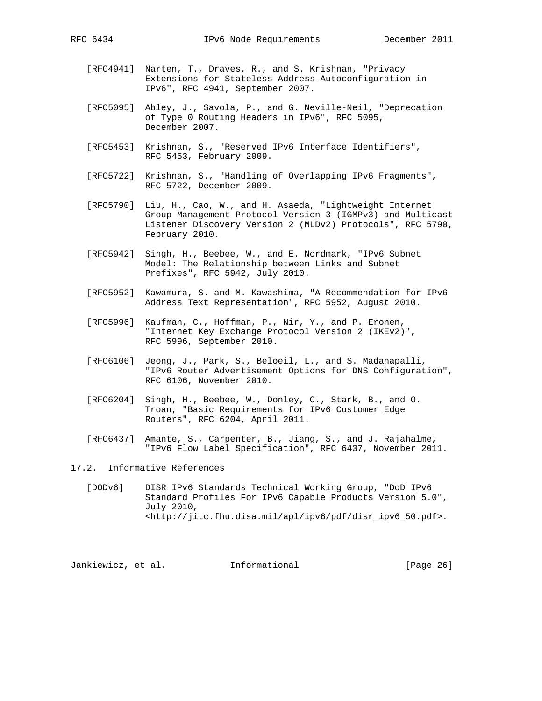- - [RFC4941] Narten, T., Draves, R., and S. Krishnan, "Privacy Extensions for Stateless Address Autoconfiguration in IPv6", RFC 4941, September 2007.
	- [RFC5095] Abley, J., Savola, P., and G. Neville-Neil, "Deprecation of Type 0 Routing Headers in IPv6", RFC 5095, December 2007.
	- [RFC5453] Krishnan, S., "Reserved IPv6 Interface Identifiers", RFC 5453, February 2009.
	- [RFC5722] Krishnan, S., "Handling of Overlapping IPv6 Fragments", RFC 5722, December 2009.
	- [RFC5790] Liu, H., Cao, W., and H. Asaeda, "Lightweight Internet Group Management Protocol Version 3 (IGMPv3) and Multicast Listener Discovery Version 2 (MLDv2) Protocols", RFC 5790, February 2010.
	- [RFC5942] Singh, H., Beebee, W., and E. Nordmark, "IPv6 Subnet Model: The Relationship between Links and Subnet Prefixes", RFC 5942, July 2010.
	- [RFC5952] Kawamura, S. and M. Kawashima, "A Recommendation for IPv6 Address Text Representation", RFC 5952, August 2010.
	- [RFC5996] Kaufman, C., Hoffman, P., Nir, Y., and P. Eronen, "Internet Key Exchange Protocol Version 2 (IKEv2)", RFC 5996, September 2010.
	- [RFC6106] Jeong, J., Park, S., Beloeil, L., and S. Madanapalli, "IPv6 Router Advertisement Options for DNS Configuration", RFC 6106, November 2010.
	- [RFC6204] Singh, H., Beebee, W., Donley, C., Stark, B., and O. Troan, "Basic Requirements for IPv6 Customer Edge Routers", RFC 6204, April 2011.
	- [RFC6437] Amante, S., Carpenter, B., Jiang, S., and J. Rajahalme, "IPv6 Flow Label Specification", RFC 6437, November 2011.

17.2. Informative References

 [DODv6] DISR IPv6 Standards Technical Working Group, "DoD IPv6 Standard Profiles For IPv6 Capable Products Version 5.0", July 2010, <http://jitc.fhu.disa.mil/apl/ipv6/pdf/disr\_ipv6\_50.pdf>.

Jankiewicz, et al. 1nformational [Page 26]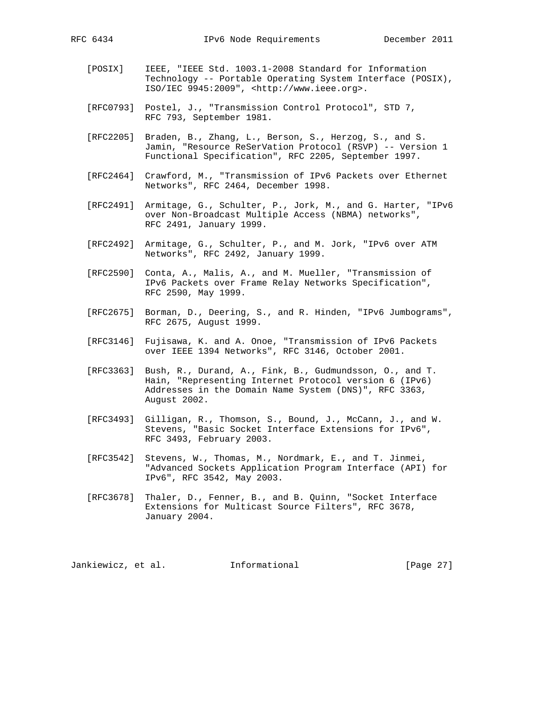- [POSIX] IEEE, "IEEE Std. 1003.1-2008 Standard for Information Technology -- Portable Operating System Interface (POSIX), ISO/IEC 9945:2009", <http://www.ieee.org>.
- [RFC0793] Postel, J., "Transmission Control Protocol", STD 7, RFC 793, September 1981.
- [RFC2205] Braden, B., Zhang, L., Berson, S., Herzog, S., and S. Jamin, "Resource ReSerVation Protocol (RSVP) -- Version 1 Functional Specification", RFC 2205, September 1997.
- [RFC2464] Crawford, M., "Transmission of IPv6 Packets over Ethernet Networks", RFC 2464, December 1998.
- [RFC2491] Armitage, G., Schulter, P., Jork, M., and G. Harter, "IPv6 over Non-Broadcast Multiple Access (NBMA) networks", RFC 2491, January 1999.
- [RFC2492] Armitage, G., Schulter, P., and M. Jork, "IPv6 over ATM Networks", RFC 2492, January 1999.
- [RFC2590] Conta, A., Malis, A., and M. Mueller, "Transmission of IPv6 Packets over Frame Relay Networks Specification", RFC 2590, May 1999.
- [RFC2675] Borman, D., Deering, S., and R. Hinden, "IPv6 Jumbograms", RFC 2675, August 1999.
- [RFC3146] Fujisawa, K. and A. Onoe, "Transmission of IPv6 Packets over IEEE 1394 Networks", RFC 3146, October 2001.
- [RFC3363] Bush, R., Durand, A., Fink, B., Gudmundsson, O., and T. Hain, "Representing Internet Protocol version 6 (IPv6) Addresses in the Domain Name System (DNS)", RFC 3363, August 2002.
- [RFC3493] Gilligan, R., Thomson, S., Bound, J., McCann, J., and W. Stevens, "Basic Socket Interface Extensions for IPv6", RFC 3493, February 2003.
- [RFC3542] Stevens, W., Thomas, M., Nordmark, E., and T. Jinmei, "Advanced Sockets Application Program Interface (API) for IPv6", RFC 3542, May 2003.
- [RFC3678] Thaler, D., Fenner, B., and B. Quinn, "Socket Interface Extensions for Multicast Source Filters", RFC 3678, January 2004.

Jankiewicz, et al. 1nformational [Page 27]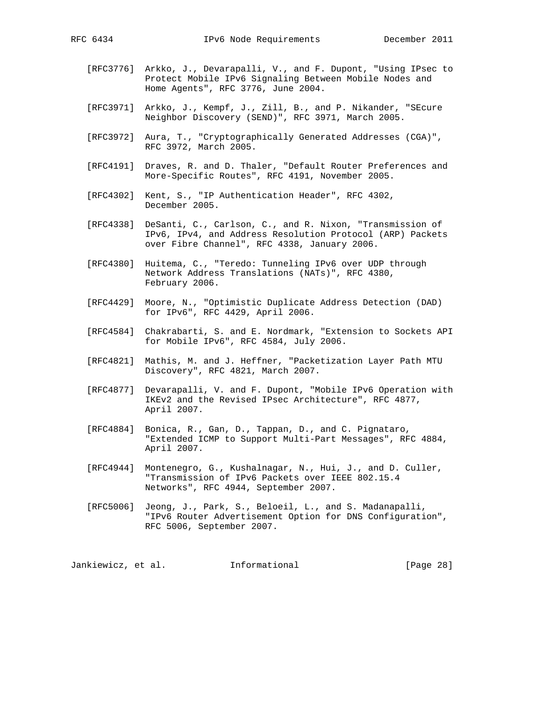- [RFC3776] Arkko, J., Devarapalli, V., and F. Dupont, "Using IPsec to Protect Mobile IPv6 Signaling Between Mobile Nodes and Home Agents", RFC 3776, June 2004.
- [RFC3971] Arkko, J., Kempf, J., Zill, B., and P. Nikander, "SEcure Neighbor Discovery (SEND)", RFC 3971, March 2005.
- [RFC3972] Aura, T., "Cryptographically Generated Addresses (CGA)", RFC 3972, March 2005.
- [RFC4191] Draves, R. and D. Thaler, "Default Router Preferences and More-Specific Routes", RFC 4191, November 2005.
- [RFC4302] Kent, S., "IP Authentication Header", RFC 4302, December 2005.
- [RFC4338] DeSanti, C., Carlson, C., and R. Nixon, "Transmission of IPv6, IPv4, and Address Resolution Protocol (ARP) Packets over Fibre Channel", RFC 4338, January 2006.
- [RFC4380] Huitema, C., "Teredo: Tunneling IPv6 over UDP through Network Address Translations (NATs)", RFC 4380, February 2006.
- [RFC4429] Moore, N., "Optimistic Duplicate Address Detection (DAD) for IPv6", RFC 4429, April 2006.
- [RFC4584] Chakrabarti, S. and E. Nordmark, "Extension to Sockets API for Mobile IPv6", RFC 4584, July 2006.
- [RFC4821] Mathis, M. and J. Heffner, "Packetization Layer Path MTU Discovery", RFC 4821, March 2007.
- [RFC4877] Devarapalli, V. and F. Dupont, "Mobile IPv6 Operation with IKEv2 and the Revised IPsec Architecture", RFC 4877, April 2007.
- [RFC4884] Bonica, R., Gan, D., Tappan, D., and C. Pignataro, "Extended ICMP to Support Multi-Part Messages", RFC 4884, April 2007.
- [RFC4944] Montenegro, G., Kushalnagar, N., Hui, J., and D. Culler, "Transmission of IPv6 Packets over IEEE 802.15.4 Networks", RFC 4944, September 2007.
- [RFC5006] Jeong, J., Park, S., Beloeil, L., and S. Madanapalli, "IPv6 Router Advertisement Option for DNS Configuration", RFC 5006, September 2007.

Jankiewicz, et al. 1nformational 1999 [Page 28]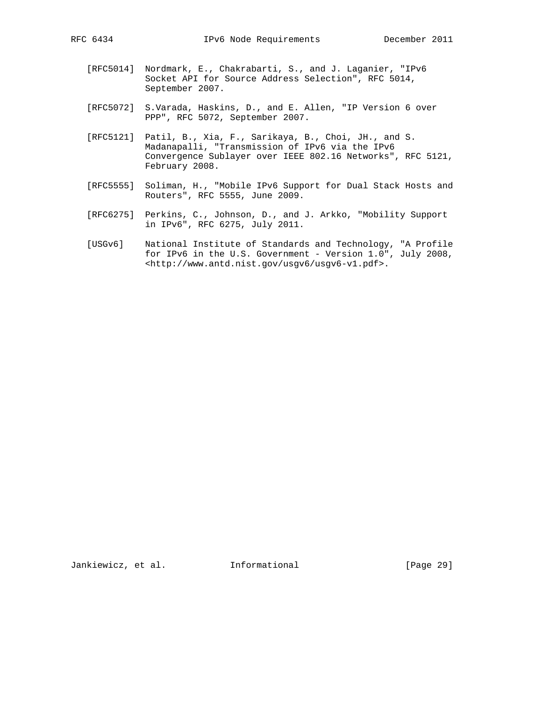- [RFC5014] Nordmark, E., Chakrabarti, S., and J. Laganier, "IPv6 Socket API for Source Address Selection", RFC 5014, September 2007.
- [RFC5072] S.Varada, Haskins, D., and E. Allen, "IP Version 6 over PPP", RFC 5072, September 2007.
- [RFC5121] Patil, B., Xia, F., Sarikaya, B., Choi, JH., and S. Madanapalli, "Transmission of IPv6 via the IPv6 Convergence Sublayer over IEEE 802.16 Networks", RFC 5121, February 2008.
- [RFC5555] Soliman, H., "Mobile IPv6 Support for Dual Stack Hosts and Routers", RFC 5555, June 2009.
- [RFC6275] Perkins, C., Johnson, D., and J. Arkko, "Mobility Support in IPv6", RFC 6275, July 2011.
- [USGv6] National Institute of Standards and Technology, "A Profile for IPv6 in the U.S. Government - Version 1.0", July 2008, <http://www.antd.nist.gov/usgv6/usgv6-v1.pdf>.